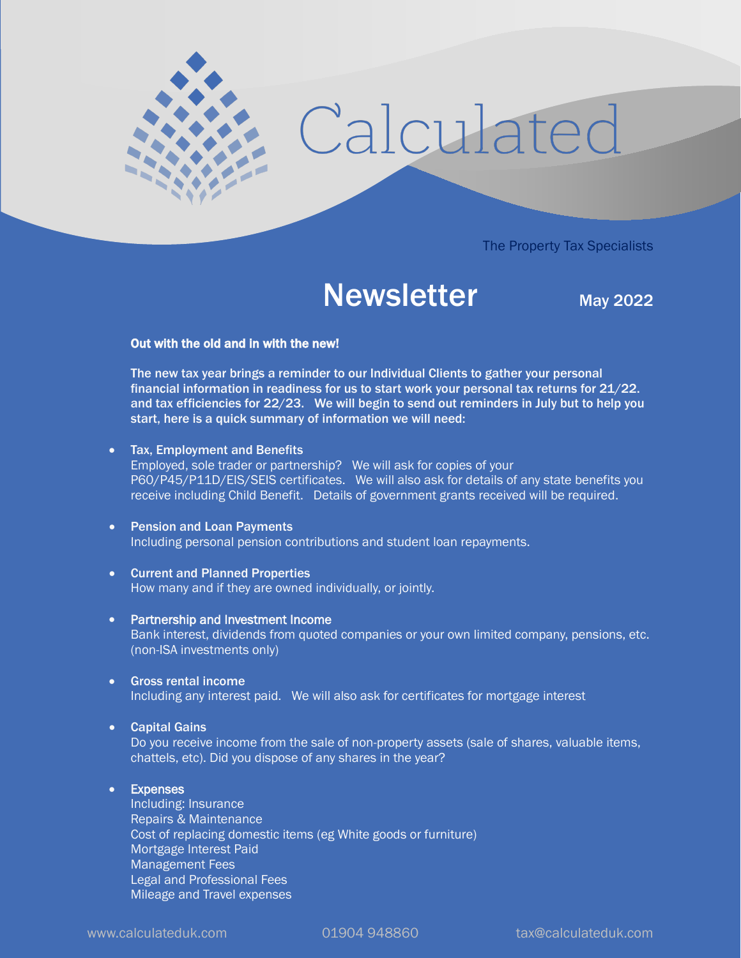

# Newsletter May 2022

# Out with the old and in with the new!

 $\overline{\phantom{a}}$ 

The new tax year brings a reminder to our Individual Clients to gather your personal financial information in readiness for us to start work your personal tax returns for 21/22. and tax efficiencies for 22/23. We will begin to send out reminders in July but to help you start, here is a quick summary of information we will need:

- Tax, Employment and Benefits Employed, sole trader or partnership? We will ask for copies of your P60/P45/P11D/EIS/SEIS certificates. We will also ask for details of any state benefits you receive including Child Benefit. Details of government grants received will be required.
- Pension and Loan Payments Including personal pension contributions and student loan repayments.
- Current and Planned Properties How many and if they are owned individually, or jointly.
- Partnership and Investment Income Bank interest, dividends from quoted companies or your own limited company, pensions, etc. (non-ISA investments only)
- Gross rental income Including any interest paid. We will also ask for certificates for mortgage interest
- Capital Gains

Do you receive income from the sale of non-property assets (sale of shares, valuable items, chattels, etc). Did you dispose of any shares in the year?

## • Expenses

Including: Insurance Repairs & Maintenance Cost of replacing domestic items (eg White goods or furniture) Mortgage Interest Paid Management Fees Legal and Professional Fees Mileage and Travel expenses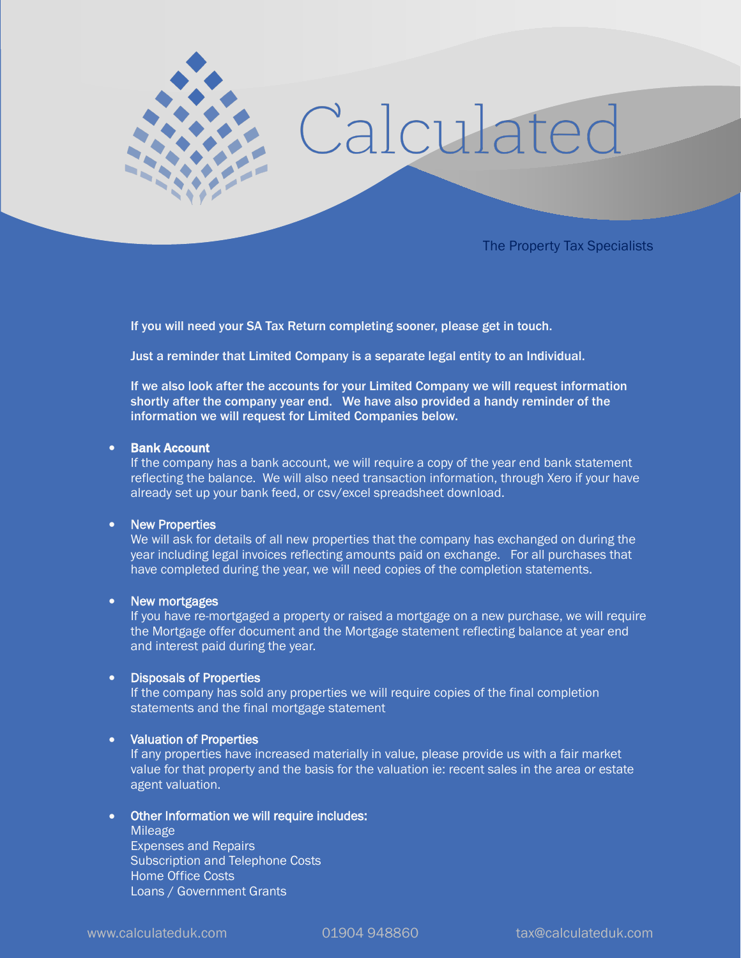

If you will need your SA Tax Return completing sooner, please get in touch.

**Pipe** 

Just a reminder that Limited Company is a separate legal entity to an Individual.

If we also look after the accounts for your Limited Company we will request information shortly after the company year end. We have also provided a handy reminder of the information we will request for Limited Companies below.

## • Bank Account

If the company has a bank account, we will require a copy of the year end bank statement reflecting the balance. We will also need transaction information, through Xero if your have already set up your bank feed, or csv/excel spreadsheet download.

#### • New Properties

We will ask for details of all new properties that the company has exchanged on during the year including legal invoices reflecting amounts paid on exchange. For all purchases that have completed during the year, we will need copies of the completion statements.

#### • New mortgages

If you have re-mortgaged a property or raised a mortgage on a new purchase, we will require the Mortgage offer document and the Mortgage statement reflecting balance at year end and interest paid during the year.

## • Disposals of Properties

If the company has sold any properties we will require copies of the final completion statements and the final mortgage statement

## • Valuation of Properties

If any properties have increased materially in value, please provide us with a fair market value for that property and the basis for the valuation ie: recent sales in the area or estate agent valuation.

# • Other Information we will require includes:

Mileage Expenses and Repairs Subscription and Telephone Costs Home Office Costs Loans / Government Grants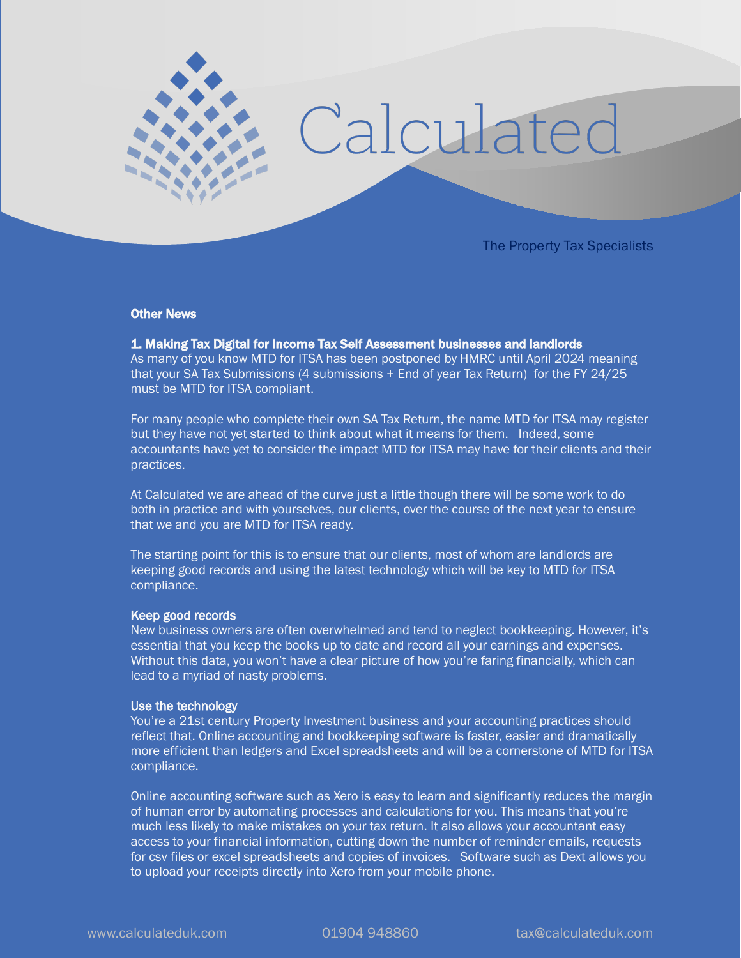

#### Other News

# 1. Making Tax Digital for Income Tax Self Assessment businesses and landlords

As many of you know MTD for ITSA has been postponed by HMRC until April 2024 meaning that your SA Tax Submissions (4 submissions + End of year Tax Return) for the FY 24/25 must be MTD for ITSA compliant.

For many people who complete their own SA Tax Return, the name MTD for ITSA may register but they have not yet started to think about what it means for them. Indeed, some accountants have yet to consider the impact MTD for ITSA may have for their clients and their practices.

At Calculated we are ahead of the curve just a little though there will be some work to do both in practice and with yourselves, our clients, over the course of the next year to ensure that we and you are MTD for ITSA ready.

The starting point for this is to ensure that our clients, most of whom are landlords are keeping good records and using the latest technology which will be key to MTD for ITSA compliance.

#### Keep good records

New business owners are often overwhelmed and tend to neglect bookkeeping. However, it's essential that you keep the books up to date and record all your earnings and expenses. Without this data, you won't have a clear picture of how you're faring financially, which can lead to a myriad of nasty problems.

#### Use the technology

You're a 21st century Property Investment business and your accounting practices should reflect that. Online accounting and bookkeeping software is faster, easier and dramatically more efficient than ledgers and Excel spreadsheets and will be a cornerstone of MTD for ITSA compliance.

Online accounting software such as Xero is easy to learn and significantly reduces the margin of human error by automating processes and calculations for you. This means that you're much less likely to make mistakes on your tax return. It also allows your accountant easy access to your financial information, cutting down the number of reminder emails, requests for csv files or excel spreadsheets and copies of invoices. Software such as Dext allows you to upload your receipts directly into Xero from your mobile phone.